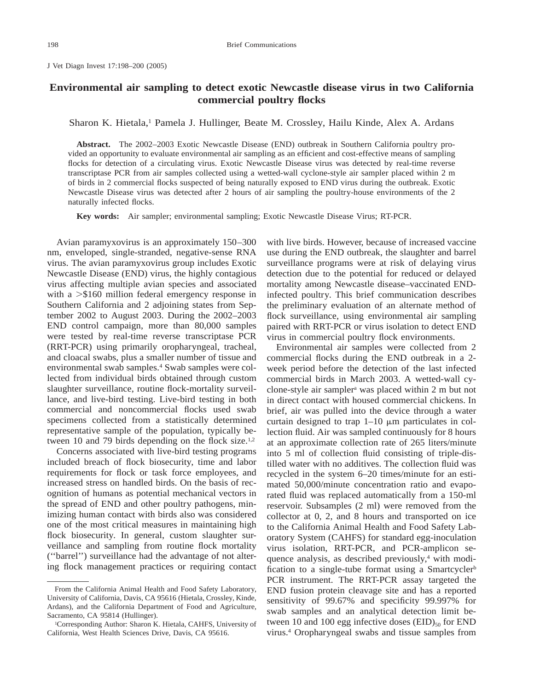J Vet Diagn Invest 17:198–200 (2005)

## **Environmental air sampling to detect exotic Newcastle disease virus in two California commercial poultry flocks**

Sharon K. Hietala,<sup>1</sup> Pamela J. Hullinger, Beate M. Crossley, Hailu Kinde, Alex A. Ardans

**Abstract.** The 2002–2003 Exotic Newcastle Disease (END) outbreak in Southern California poultry provided an opportunity to evaluate environmental air sampling as an efficient and cost-effective means of sampling flocks for detection of a circulating virus. Exotic Newcastle Disease virus was detected by real-time reverse transcriptase PCR from air samples collected using a wetted-wall cyclone-style air sampler placed within 2 m of birds in 2 commercial flocks suspected of being naturally exposed to END virus during the outbreak. Exotic Newcastle Disease virus was detected after 2 hours of air sampling the poultry-house environments of the 2 naturally infected flocks.

**Key words:** Air sampler; environmental sampling; Exotic Newcastle Disease Virus; RT-PCR.

Avian paramyxovirus is an approximately 150–300 nm, enveloped, single-stranded, negative-sense RNA virus. The avian paramyxovirus group includes Exotic Newcastle Disease (END) virus, the highly contagious virus affecting multiple avian species and associated with a  $>$ \$160 million federal emergency response in Southern California and 2 adjoining states from September 2002 to August 2003. During the 2002–2003 END control campaign, more than 80,000 samples were tested by real-time reverse transcriptase PCR (RRT-PCR) using primarily oropharyngeal, tracheal, and cloacal swabs, plus a smaller number of tissue and environmental swab samples.4 Swab samples were collected from individual birds obtained through custom slaughter surveillance, routine flock-mortality surveillance, and live-bird testing. Live-bird testing in both commercial and noncommercial flocks used swab specimens collected from a statistically determined representative sample of the population, typically between 10 and 79 birds depending on the flock size.<sup>1,2</sup>

Concerns associated with live-bird testing programs included breach of flock biosecurity, time and labor requirements for flock or task force employees, and increased stress on handled birds. On the basis of recognition of humans as potential mechanical vectors in the spread of END and other poultry pathogens, minimizing human contact with birds also was considered one of the most critical measures in maintaining high flock biosecurity. In general, custom slaughter surveillance and sampling from routine flock mortality (''barrel'') surveillance had the advantage of not altering flock management practices or requiring contact with live birds. However, because of increased vaccine use during the END outbreak, the slaughter and barrel surveillance programs were at risk of delaying virus detection due to the potential for reduced or delayed mortality among Newcastle disease–vaccinated ENDinfected poultry. This brief communication describes the preliminary evaluation of an alternate method of flock surveillance, using environmental air sampling paired with RRT-PCR or virus isolation to detect END virus in commercial poultry flock environments.

Environmental air samples were collected from 2 commercial flocks during the END outbreak in a 2 week period before the detection of the last infected commercial birds in March 2003. A wetted-wall cyclone-style air samplera was placed within 2 m but not in direct contact with housed commercial chickens. In brief, air was pulled into the device through a water curtain designed to trap  $1-10 \mu m$  particulates in collection fluid. Air was sampled continuously for 8 hours at an approximate collection rate of 265 liters/minute into 5 ml of collection fluid consisting of triple-distilled water with no additives. The collection fluid was recycled in the system 6–20 times/minute for an estimated 50,000/minute concentration ratio and evaporated fluid was replaced automatically from a 150-ml reservoir. Subsamples (2 ml) were removed from the collector at 0, 2, and 8 hours and transported on ice to the California Animal Health and Food Safety Laboratory System (CAHFS) for standard egg-inoculation virus isolation, RRT-PCR, and PCR-amplicon sequence analysis, as described previously, $4$  with modification to a single-tube format using a Smartcycler<sup>b</sup> PCR instrument. The RRT-PCR assay targeted the END fusion protein cleavage site and has a reported sensitivity of 99.67% and specificity 99.997% for swab samples and an analytical detection limit between 10 and 100 egg infective doses  $(EID)_{50}$  for END virus.4 Oropharyngeal swabs and tissue samples from

From the California Animal Health and Food Safety Laboratory, University of California, Davis, CA 95616 (Hietala, Crossley, Kinde, Ardans), and the California Department of Food and Agriculture, Sacramento, CA 95814 (Hullinger).

<sup>1</sup>Corresponding Author: Sharon K. Hietala, CAHFS, University of California, West Health Sciences Drive, Davis, CA 95616.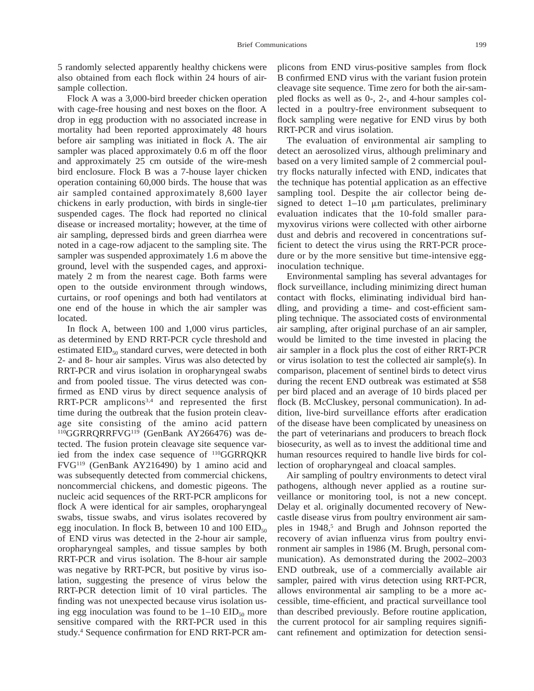5 randomly selected apparently healthy chickens were also obtained from each flock within 24 hours of airsample collection.

Flock A was a 3,000-bird breeder chicken operation with cage-free housing and nest boxes on the floor. A drop in egg production with no associated increase in mortality had been reported approximately 48 hours before air sampling was initiated in flock A. The air sampler was placed approximately 0.6 m off the floor and approximately 25 cm outside of the wire-mesh bird enclosure. Flock B was a 7-house layer chicken operation containing 60,000 birds. The house that was air sampled contained approximately 8,600 layer chickens in early production, with birds in single-tier suspended cages. The flock had reported no clinical disease or increased mortality; however, at the time of air sampling, depressed birds and green diarrhea were noted in a cage-row adjacent to the sampling site. The sampler was suspended approximately 1.6 m above the ground, level with the suspended cages, and approximately 2 m from the nearest cage. Both farms were open to the outside environment through windows, curtains, or roof openings and both had ventilators at one end of the house in which the air sampler was located.

In flock A, between 100 and 1,000 virus particles, as determined by END RRT-PCR cycle threshold and estimated  $EID_{50}$  standard curves, were detected in both 2- and 8- hour air samples. Virus was also detected by RRT-PCR and virus isolation in oropharyngeal swabs and from pooled tissue. The virus detected was confirmed as END virus by direct sequence analysis of RRT-PCR amplicons<sup>3,4</sup> and represented the first time during the outbreak that the fusion protein cleavage site consisting of the amino acid pattern <sup>110</sup>GGRRQRRFVG<sup>119</sup> (GenBank AY266476) was detected. The fusion protein cleavage site sequence varied from the index case sequence of 110GGRRQKR FVG119 (GenBank AY216490) by 1 amino acid and was subsequently detected from commercial chickens, noncommercial chickens, and domestic pigeons. The nucleic acid sequences of the RRT-PCR amplicons for flock A were identical for air samples, oropharyngeal swabs, tissue swabs, and virus isolates recovered by egg inoculation. In flock B, between 10 and 100  $EID_{50}$ of END virus was detected in the 2-hour air sample, oropharyngeal samples, and tissue samples by both RRT-PCR and virus isolation. The 8-hour air sample was negative by RRT-PCR, but positive by virus isolation, suggesting the presence of virus below the RRT-PCR detection limit of 10 viral particles. The finding was not unexpected because virus isolation using egg inoculation was found to be  $1-10$  EID<sub>50</sub> more sensitive compared with the RRT-PCR used in this study.4 Sequence confirmation for END RRT-PCR amplicons from END virus-positive samples from flock B confirmed END virus with the variant fusion protein cleavage site sequence. Time zero for both the air-sampled flocks as well as 0-, 2-, and 4-hour samples collected in a poultry-free environment subsequent to flock sampling were negative for END virus by both RRT-PCR and virus isolation.

The evaluation of environmental air sampling to detect an aerosolized virus, although preliminary and based on a very limited sample of 2 commercial poultry flocks naturally infected with END, indicates that the technique has potential application as an effective sampling tool. Despite the air collector being designed to detect  $1-10$  µm particulates, preliminary evaluation indicates that the 10-fold smaller paramyxovirus virions were collected with other airborne dust and debris and recovered in concentrations sufficient to detect the virus using the RRT-PCR procedure or by the more sensitive but time-intensive egginoculation technique.

Environmental sampling has several advantages for flock surveillance, including minimizing direct human contact with flocks, eliminating individual bird handling, and providing a time- and cost-efficient sampling technique. The associated costs of environmental air sampling, after original purchase of an air sampler, would be limited to the time invested in placing the air sampler in a flock plus the cost of either RRT-PCR or virus isolation to test the collected air sample(s). In comparison, placement of sentinel birds to detect virus during the recent END outbreak was estimated at \$58 per bird placed and an average of 10 birds placed per flock (B. McCluskey, personal communication). In addition, live-bird surveillance efforts after eradication of the disease have been complicated by uneasiness on the part of veterinarians and producers to breach flock biosecurity, as well as to invest the additional time and human resources required to handle live birds for collection of oropharyngeal and cloacal samples.

Air sampling of poultry environments to detect viral pathogens, although never applied as a routine surveillance or monitoring tool, is not a new concept. Delay et al. originally documented recovery of Newcastle disease virus from poultry environment air samples in 1948,<sup>5</sup> and Brugh and Johnson reported the recovery of avian influenza virus from poultry environment air samples in 1986 (M. Brugh, personal communication). As demonstrated during the 2002–2003 END outbreak, use of a commercially available air sampler, paired with virus detection using RRT-PCR, allows environmental air sampling to be a more accessible, time-efficient, and practical surveillance tool than described previously. Before routine application, the current protocol for air sampling requires significant refinement and optimization for detection sensi